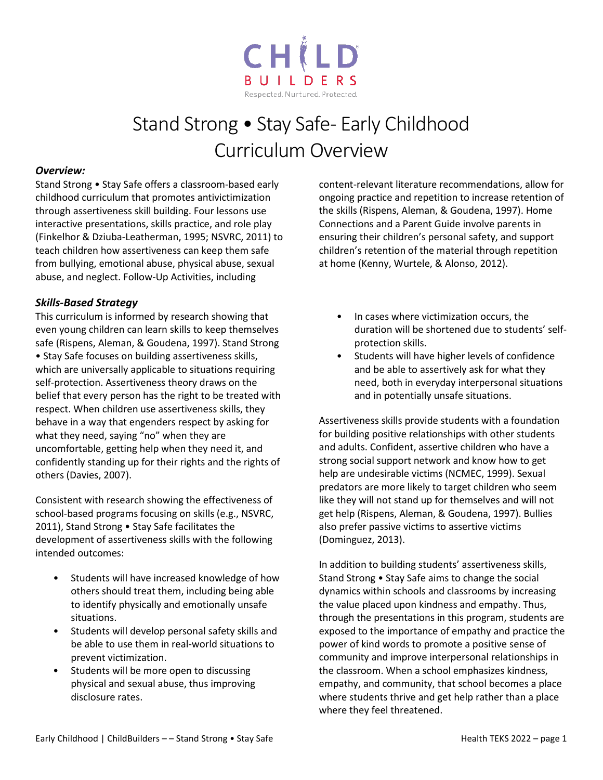

## Stand Strong • Stay Safe- Early Childhood Curriculum Overview

## *Overview:*

Stand Strong • Stay Safe offers a classroom-based early childhood curriculum that promotes antivictimization through assertiveness skill building. Four lessons use interactive presentations, skills practice, and role play (Finkelhor & Dziuba-Leatherman, 1995; NSVRC, 2011) to teach children how assertiveness can keep them safe from bullying, emotional abuse, physical abuse, sexual abuse, and neglect. Follow-Up Activities, including

## *Skills-Based Strategy*

This curriculum is informed by research showing that even young children can learn skills to keep themselves safe (Rispens, Aleman, & Goudena, 1997). Stand Strong • Stay Safe focuses on building assertiveness skills, which are universally applicable to situations requiring self-protection. Assertiveness theory draws on the belief that every person has the right to be treated with respect. When children use assertiveness skills, they behave in a way that engenders respect by asking for what they need, saying "no" when they are uncomfortable, getting help when they need it, and confidently standing up for their rights and the rights of others (Davies, 2007).

Consistent with research showing the effectiveness of school-based programs focusing on skills (e.g., NSVRC, 2011), Stand Strong • Stay Safe facilitates the development of assertiveness skills with the following intended outcomes:

- Students will have increased knowledge of how others should treat them, including being able to identify physically and emotionally unsafe situations.
- Students will develop personal safety skills and be able to use them in real-world situations to prevent victimization.
- Students will be more open to discussing physical and sexual abuse, thus improving disclosure rates.

content-relevant literature recommendations, allow for ongoing practice and repetition to increase retention of the skills (Rispens, Aleman, & Goudena, 1997). Home Connections and a Parent Guide involve parents in ensuring their children's personal safety, and support children's retention of the material through repetition at home (Kenny, Wurtele, & Alonso, 2012).

- In cases where victimization occurs, the duration will be shortened due to students' selfprotection skills.
- Students will have higher levels of confidence and be able to assertively ask for what they need, both in everyday interpersonal situations and in potentially unsafe situations.

Assertiveness skills provide students with a foundation for building positive relationships with other students and adults. Confident, assertive children who have a strong social support network and know how to get help are undesirable victims (NCMEC, 1999). Sexual predators are more likely to target children who seem like they will not stand up for themselves and will not get help (Rispens, Aleman, & Goudena, 1997). Bullies also prefer passive victims to assertive victims (Dominguez, 2013).

In addition to building students' assertiveness skills, Stand Strong • Stay Safe aims to change the social dynamics within schools and classrooms by increasing the value placed upon kindness and empathy. Thus, through the presentations in this program, students are exposed to the importance of empathy and practice the power of kind words to promote a positive sense of community and improve interpersonal relationships in the classroom. When a school emphasizes kindness, empathy, and community, that school becomes a place where students thrive and get help rather than a place where they feel threatened.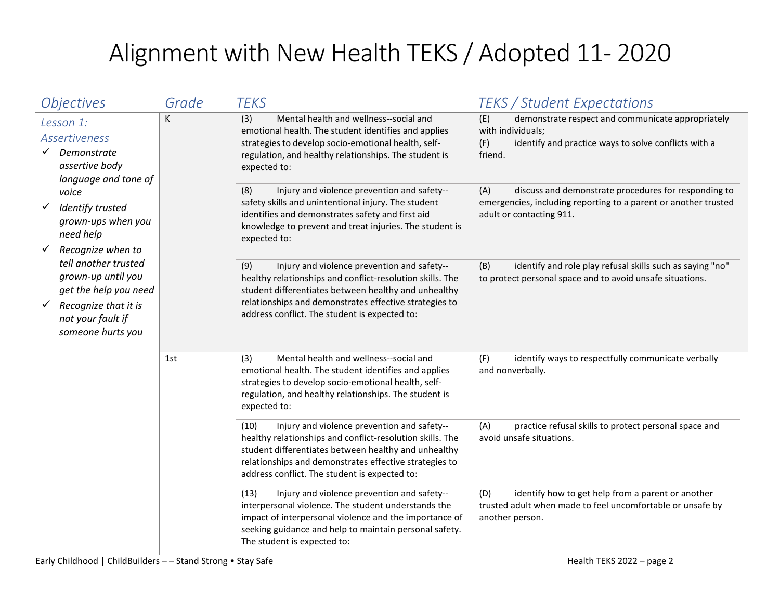## Alignment with New Health TEKS / Adopted 11- 2020

| <i><b>Objectives</b></i>                                                                                                                                                   | Grade | <b>TEKS</b>                                                                                                                                                                                                                                                                         | <b>TEKS / Student Expectations</b>                                                                                                                         |
|----------------------------------------------------------------------------------------------------------------------------------------------------------------------------|-------|-------------------------------------------------------------------------------------------------------------------------------------------------------------------------------------------------------------------------------------------------------------------------------------|------------------------------------------------------------------------------------------------------------------------------------------------------------|
| Lesson 1:<br><b>Assertiveness</b><br>Demonstrate<br>$\checkmark$<br>assertive body<br>language and tone of                                                                 | K     | Mental health and wellness--social and<br>(3)<br>emotional health. The student identifies and applies<br>strategies to develop socio-emotional health, self-<br>regulation, and healthy relationships. The student is<br>expected to:                                               | demonstrate respect and communicate appropriately<br>(E)<br>with individuals;<br>identify and practice ways to solve conflicts with a<br>(F)<br>friend.    |
| voice<br>Identify trusted<br>$\checkmark$<br>grown-ups when you<br>need help                                                                                               |       | Injury and violence prevention and safety--<br>(8)<br>safety skills and unintentional injury. The student<br>identifies and demonstrates safety and first aid<br>knowledge to prevent and treat injuries. The student is<br>expected to:                                            | discuss and demonstrate procedures for responding to<br>(A)<br>emergencies, including reporting to a parent or another trusted<br>adult or contacting 911. |
| Recognize when to<br>$\checkmark$<br>tell another trusted<br>grown-up until you<br>get the help you need<br>Recognize that it is<br>not your fault if<br>someone hurts you |       | (9)<br>Injury and violence prevention and safety--<br>healthy relationships and conflict-resolution skills. The<br>student differentiates between healthy and unhealthy<br>relationships and demonstrates effective strategies to<br>address conflict. The student is expected to:  | identify and role play refusal skills such as saying "no"<br>(B)<br>to protect personal space and to avoid unsafe situations.                              |
|                                                                                                                                                                            | 1st   | Mental health and wellness--social and<br>(3)<br>emotional health. The student identifies and applies<br>strategies to develop socio-emotional health, self-<br>regulation, and healthy relationships. The student is<br>expected to:                                               | identify ways to respectfully communicate verbally<br>(F)<br>and nonverbally.                                                                              |
|                                                                                                                                                                            |       | (10)<br>Injury and violence prevention and safety--<br>healthy relationships and conflict-resolution skills. The<br>student differentiates between healthy and unhealthy<br>relationships and demonstrates effective strategies to<br>address conflict. The student is expected to: | (A)<br>practice refusal skills to protect personal space and<br>avoid unsafe situations.                                                                   |
|                                                                                                                                                                            |       | Injury and violence prevention and safety--<br>(13)<br>interpersonal violence. The student understands the<br>impact of interpersonal violence and the importance of<br>seeking guidance and help to maintain personal safety.<br>The student is expected to:                       | identify how to get help from a parent or another<br>(D)<br>trusted adult when made to feel uncomfortable or unsafe by<br>another person.                  |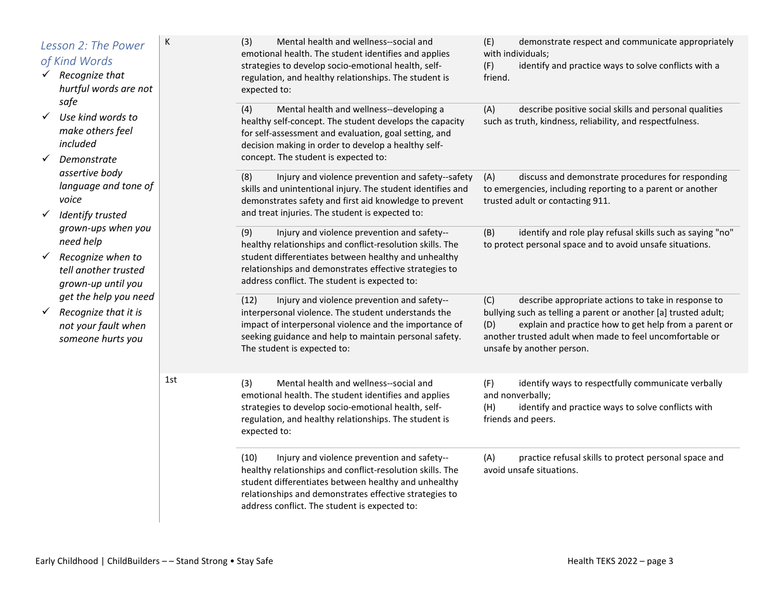|              | Lesson 2: The Power<br>of Kind Words<br>$\checkmark$ Recognize that<br>hurtful words are not       | К   | (3)<br>Mental health and wellness--social and<br>emotional health. The student identifies and applies<br>strategies to develop socio-emotional health, self-<br>regulation, and healthy relationships. The student is<br>expected to:                                               | (E)<br>demonstrate respect and communicate appropriately<br>with individuals;<br>(F)<br>identify and practice ways to solve conflicts with a<br>friend.                                                                                                                                |
|--------------|----------------------------------------------------------------------------------------------------|-----|-------------------------------------------------------------------------------------------------------------------------------------------------------------------------------------------------------------------------------------------------------------------------------------|----------------------------------------------------------------------------------------------------------------------------------------------------------------------------------------------------------------------------------------------------------------------------------------|
|              | safe<br>Use kind words to<br>make others feel<br>included<br>Demonstrate                           |     | (4)<br>Mental health and wellness--developing a<br>healthy self-concept. The student develops the capacity<br>for self-assessment and evaluation, goal setting, and<br>decision making in order to develop a healthy self-<br>concept. The student is expected to:                  | (A)<br>describe positive social skills and personal qualities<br>such as truth, kindness, reliability, and respectfulness.                                                                                                                                                             |
| $\checkmark$ | assertive body<br>language and tone of<br>voice<br>Identify trusted                                |     | (8)<br>Injury and violence prevention and safety--safety<br>skills and unintentional injury. The student identifies and<br>demonstrates safety and first aid knowledge to prevent<br>and treat injuries. The student is expected to:                                                | discuss and demonstrate procedures for responding<br>(A)<br>to emergencies, including reporting to a parent or another<br>trusted adult or contacting 911.                                                                                                                             |
| $\checkmark$ | grown-ups when you<br>need help<br>Recognize when to<br>tell another trusted<br>grown-up until you |     | (9)<br>Injury and violence prevention and safety--<br>healthy relationships and conflict-resolution skills. The<br>student differentiates between healthy and unhealthy<br>relationships and demonstrates effective strategies to<br>address conflict. The student is expected to:  | identify and role play refusal skills such as saying "no"<br>(B)<br>to protect personal space and to avoid unsafe situations.                                                                                                                                                          |
| $\checkmark$ | get the help you need<br>Recognize that it is<br>not your fault when<br>someone hurts you          |     | (12)<br>Injury and violence prevention and safety--<br>interpersonal violence. The student understands the<br>impact of interpersonal violence and the importance of<br>seeking guidance and help to maintain personal safety.<br>The student is expected to:                       | (C)<br>describe appropriate actions to take in response to<br>bullying such as telling a parent or another [a] trusted adult;<br>explain and practice how to get help from a parent or<br>(D)<br>another trusted adult when made to feel uncomfortable or<br>unsafe by another person. |
|              |                                                                                                    | 1st | Mental health and wellness--social and<br>(3)<br>emotional health. The student identifies and applies<br>strategies to develop socio-emotional health, self-<br>regulation, and healthy relationships. The student is<br>expected to:                                               | (F)<br>identify ways to respectfully communicate verbally<br>and nonverbally;<br>(H)<br>identify and practice ways to solve conflicts with<br>friends and peers.                                                                                                                       |
|              |                                                                                                    |     | (10)<br>Injury and violence prevention and safety--<br>healthy relationships and conflict-resolution skills. The<br>student differentiates between healthy and unhealthy<br>relationships and demonstrates effective strategies to<br>address conflict. The student is expected to: | (A)<br>practice refusal skills to protect personal space and<br>avoid unsafe situations.                                                                                                                                                                                               |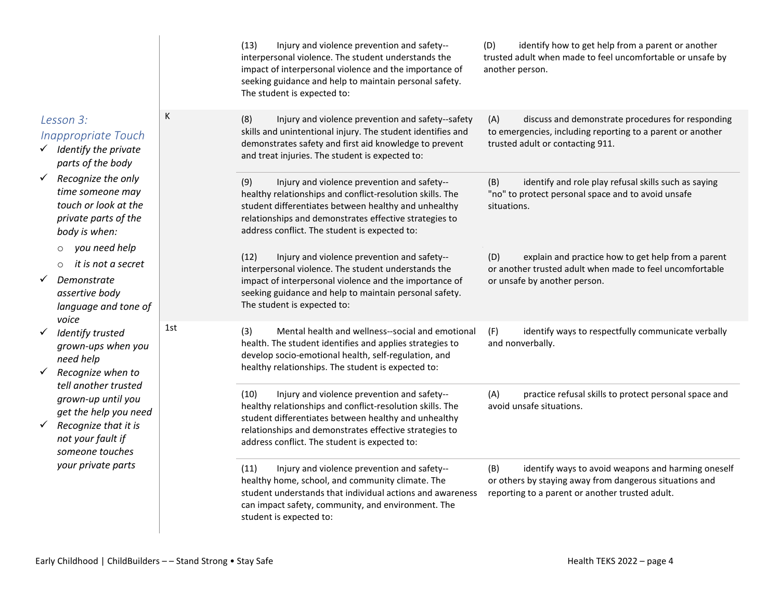|                                                                                                                                     |     | (13)<br>Injury and violence prevention and safety--<br>interpersonal violence. The student understands the<br>impact of interpersonal violence and the importance of<br>seeking guidance and help to maintain personal safety.<br>The student is expected to:                       | identify how to get help from a parent or another<br>(D)<br>trusted adult when made to feel uncomfortable or unsafe by<br>another person.                               |
|-------------------------------------------------------------------------------------------------------------------------------------|-----|-------------------------------------------------------------------------------------------------------------------------------------------------------------------------------------------------------------------------------------------------------------------------------------|-------------------------------------------------------------------------------------------------------------------------------------------------------------------------|
| К<br>Lesson 3:<br><b>Inappropriate Touch</b><br>$\checkmark$ Identify the private<br>parts of the body                              |     | (8)<br>Injury and violence prevention and safety--safety<br>skills and unintentional injury. The student identifies and<br>demonstrates safety and first aid knowledge to prevent<br>and treat injuries. The student is expected to:                                                | (A)<br>discuss and demonstrate procedures for responding<br>to emergencies, including reporting to a parent or another<br>trusted adult or contacting 911.              |
| $\checkmark$ Recognize the only<br>time someone may<br>touch or look at the<br>private parts of the<br>body is when:                |     | Injury and violence prevention and safety--<br>(9)<br>healthy relationships and conflict-resolution skills. The<br>student differentiates between healthy and unhealthy<br>relationships and demonstrates effective strategies to<br>address conflict. The student is expected to:  | identify and role play refusal skills such as saying<br>(B)<br>"no" to protect personal space and to avoid unsafe<br>situations.                                        |
| you need help<br>$\circ$<br>it is not a secret<br>$\circ$<br>Demonstrate<br>assertive body<br>language and tone of<br>voice         |     | (12)<br>Injury and violence prevention and safety--<br>interpersonal violence. The student understands the<br>impact of interpersonal violence and the importance of<br>seeking guidance and help to maintain personal safety.<br>The student is expected to:                       | explain and practice how to get help from a parent<br>(D)<br>or another trusted adult when made to feel uncomfortable<br>or unsafe by another person.                   |
| Identify trusted<br>grown-ups when you<br>need help<br>Recognize when to                                                            | 1st | (3)<br>Mental health and wellness--social and emotional<br>health. The student identifies and applies strategies to<br>develop socio-emotional health, self-regulation, and<br>healthy relationships. The student is expected to:                                                   | (F)<br>identify ways to respectfully communicate verbally<br>and nonverbally.                                                                                           |
| tell another trusted<br>grown-up until you<br>get the help you need<br>Recognize that it is<br>not your fault if<br>someone touches |     | (10)<br>Injury and violence prevention and safety--<br>healthy relationships and conflict-resolution skills. The<br>student differentiates between healthy and unhealthy<br>relationships and demonstrates effective strategies to<br>address conflict. The student is expected to: | (A)<br>practice refusal skills to protect personal space and<br>avoid unsafe situations.                                                                                |
| your private parts                                                                                                                  |     | Injury and violence prevention and safety--<br>(11)<br>healthy home, school, and community climate. The<br>student understands that individual actions and awareness<br>can impact safety, community, and environment. The<br>student is expected to:                               | identify ways to avoid weapons and harming oneself<br>(B)<br>or others by staying away from dangerous situations and<br>reporting to a parent or another trusted adult. |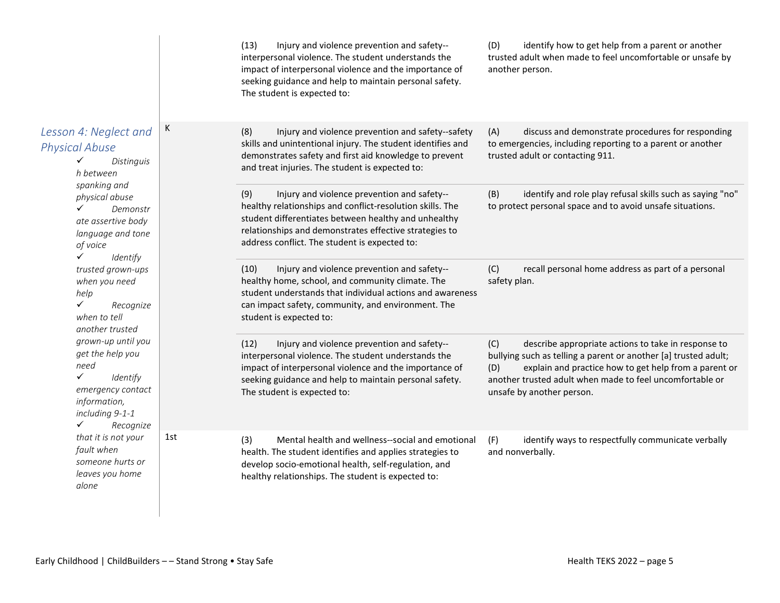|                                                                                                                                                                                                                      |     | Injury and violence prevention and safety--<br>(13)<br>interpersonal violence. The student understands the<br>impact of interpersonal violence and the importance of<br>seeking guidance and help to maintain personal safety.<br>The student is expected to:                      | identify how to get help from a parent or another<br>(D)<br>trusted adult when made to feel uncomfortable or unsafe by<br>another person.                                                                                                                                              |
|----------------------------------------------------------------------------------------------------------------------------------------------------------------------------------------------------------------------|-----|------------------------------------------------------------------------------------------------------------------------------------------------------------------------------------------------------------------------------------------------------------------------------------|----------------------------------------------------------------------------------------------------------------------------------------------------------------------------------------------------------------------------------------------------------------------------------------|
| Lesson 4: Neglect and<br><b>Physical Abuse</b><br>Distinguis<br>✓<br>h between<br>spanking and<br>physical abuse<br>✓<br>Demonstr<br>ate assertive body<br>language and tone<br>of voice<br>$\checkmark$<br>Identify | К   | Injury and violence prevention and safety--safety<br>(8)<br>skills and unintentional injury. The student identifies and<br>demonstrates safety and first aid knowledge to prevent<br>and treat injuries. The student is expected to:                                               | discuss and demonstrate procedures for responding<br>(A)<br>to emergencies, including reporting to a parent or another<br>trusted adult or contacting 911.                                                                                                                             |
|                                                                                                                                                                                                                      |     | Injury and violence prevention and safety--<br>(9)<br>healthy relationships and conflict-resolution skills. The<br>student differentiates between healthy and unhealthy<br>relationships and demonstrates effective strategies to<br>address conflict. The student is expected to: | identify and role play refusal skills such as saying "no"<br>(B)<br>to protect personal space and to avoid unsafe situations.                                                                                                                                                          |
| trusted grown-ups<br>when you need<br>help<br>$\checkmark$<br>Recognize<br>when to tell<br>another trusted                                                                                                           |     | Injury and violence prevention and safety--<br>(10)<br>healthy home, school, and community climate. The<br>student understands that individual actions and awareness<br>can impact safety, community, and environment. The<br>student is expected to:                              | recall personal home address as part of a personal<br>(C)<br>safety plan.                                                                                                                                                                                                              |
| grown-up until you<br>get the help you<br>need<br>$\checkmark$<br>Identify<br>emergency contact<br>information,<br>including 9-1-1<br>Recognize<br>✓                                                                 |     | Injury and violence prevention and safety--<br>(12)<br>interpersonal violence. The student understands the<br>impact of interpersonal violence and the importance of<br>seeking guidance and help to maintain personal safety.<br>The student is expected to:                      | describe appropriate actions to take in response to<br>(C)<br>bullying such as telling a parent or another [a] trusted adult;<br>explain and practice how to get help from a parent or<br>(D)<br>another trusted adult when made to feel uncomfortable or<br>unsafe by another person. |
| that it is not your<br>fault when<br>someone hurts or<br>leaves you home<br>alone                                                                                                                                    | 1st | Mental health and wellness--social and emotional<br>(3)<br>health. The student identifies and applies strategies to<br>develop socio-emotional health, self-regulation, and<br>healthy relationships. The student is expected to:                                                  | identify ways to respectfully communicate verbally<br>(F)<br>and nonverbally.                                                                                                                                                                                                          |